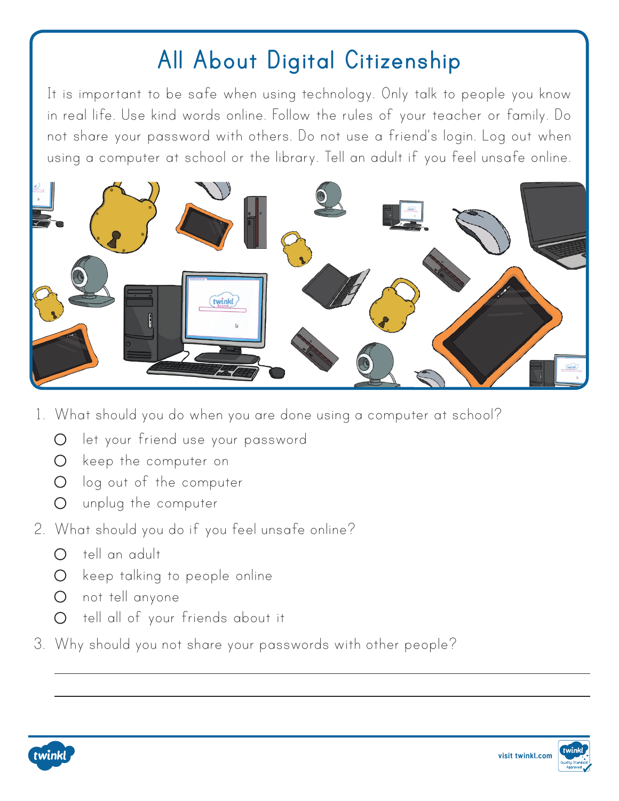## **All About Digital Citizenship**

It is important to be safe when using technology. Only talk to people you know in real life. Use kind words online. Follow the rules of your teacher or family. Do not share your password with others. Do not use a friend's login. Log out when using a computer at school or the library. Tell an adult if you feel unsafe online.



- 1. What should you do when you are done using a computer at school?
	- let your friend use your password
	- O keep the computer on
	- O log out of the computer
	- unplug the computer
- 2. What should you do if you feel unsafe online?
	- $\Omega$  tell an adult
	- O keep talking to people online
	- not tell anyone
	- O tell all of your friends about it
- 3. Why should you not share your passwords with other people?